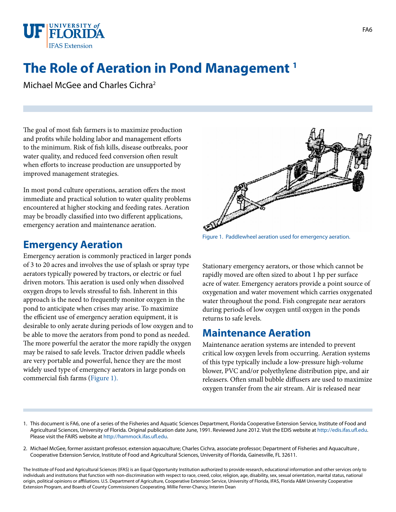

## **The Role of Aeration in Pond Management 1**

Michael McGee and Charles Cichra2

The goal of most fish farmers is to maximize production and profits while holding labor and management efforts to the minimum. Risk of fish kills, disease outbreaks, poor water quality, and reduced feed conversion often result when efforts to increase production are unsupported by improved management strategies.

In most pond culture operations, aeration offers the most immediate and practical solution to water quality problems encountered at higher stocking and feeding rates. Aeration may be broadly classified into two different applications, emergency aeration and maintenance aeration.

## **Emergency Aeration**

Emergency aeration is commonly practiced in larger ponds of 3 to 20 acres and involves the use of splash or spray type aerators typically powered by tractors, or electric or fuel driven motors. This aeration is used only when dissolved oxygen drops to levels stressful to fish. Inherent in this approach is the need to frequently monitor oxygen in the pond to anticipate when crises may arise. To maximize the efficient use of emergency aeration equipment, it is desirable to only aerate during periods of low oxygen and to be able to move the aerators from pond to pond as needed. The more powerful the aerator the more rapidly the oxygen may be raised to safe levels. Tractor driven paddle wheels are very portable and powerful, hence they are the most widely used type of emergency aerators in large ponds on commercial fish farms [\(Figure 1\).](IMAGE_FA_FA021F1) 



Figure 1. Paddlewheel aeration used for emergency aeration.

Stationary emergency aerators, or those which cannot be rapidly moved are often sized to about 1 hp per surface acre of water. Emergency aerators provide a point source of oxygenation and water movement which carries oxygenated water throughout the pond. Fish congregate near aerators during periods of low oxygen until oxygen in the ponds returns to safe levels.

## **Maintenance Aeration**

Maintenance aeration systems are intended to prevent critical low oxygen levels from occurring. Aeration systems of this type typically include a low-pressure high-volume blower, PVC and/or polyethylene distribution pipe, and air releasers. Often small bubble diffusers are used to maximize oxygen transfer from the air stream. Air is released near

- 1. This document is FA6, one of a series of the Fisheries and Aquatic Sciences Department, Florida Cooperative Extension Service, Institute of Food and Agricultural Sciences, University of Florida. Original publication date June, 1991. Reviewed June 2012. Visit the EDIS website at [http://edis.ifas.ufl.edu.](http://edis.ifas.ufl.edu) Please visit the FAIRS website at<http://hammock.ifas.ufl.edu>.
- 2. Michael McGee, former assistant professor, extension aquaculture; Charles Cichra, associate professor; Department of Fisheries and Aquaculture , Cooperative Extension Service, Institute of Food and Agricultural Sciences, University of Florida, Gainesville, FL 32611.

The Institute of Food and Agricultural Sciences (IFAS) is an Equal Opportunity Institution authorized to provide research, educational information and other services only to individuals and institutions that function with non-discrimination with respect to race, creed, color, religion, age, disability, sex, sexual orientation, marital status, national origin, political opinions or affiliations. U.S. Department of Agriculture, Cooperative Extension Service, University of Florida, IFAS, Florida A&M University Cooperative Extension Program, and Boards of County Commissioners Cooperating. Millie Ferrer-Chancy, Interim Dean